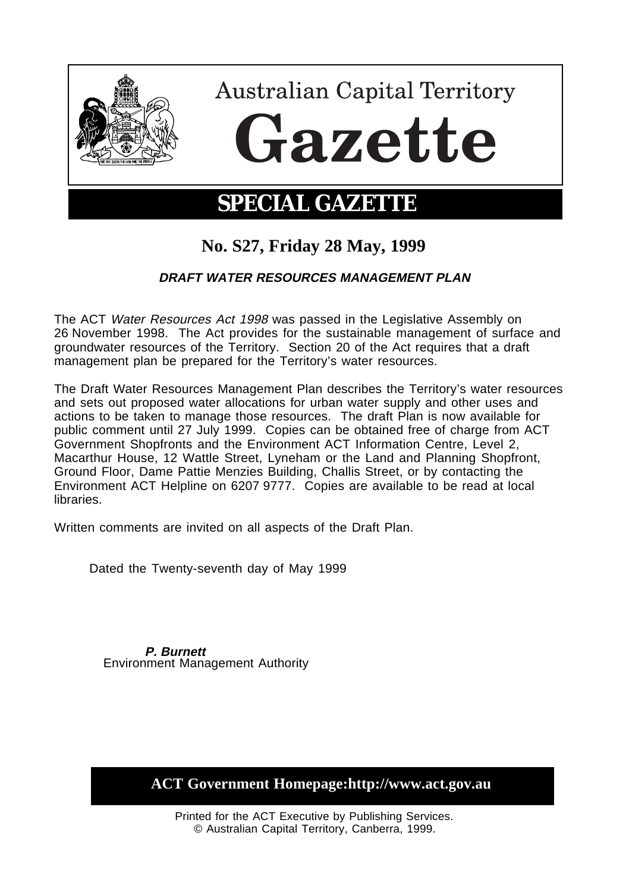

# **SPECIAL GAZETTE**

# **No. S27, Friday 28 May, 1999**

## **DRAFT WATER RESOURCES MANAGEMENT PLAN**

The ACT Water Resources Act 1998 was passed in the Legislative Assembly on 26 November 1998. The Act provides for the sustainable management of surface and groundwater resources of the Territory. Section 20 of the Act requires that a draft management plan be prepared for the Territory's water resources.

The Draft Water Resources Management Plan describes the Territory's water resources and sets out proposed water allocations for urban water supply and other uses and actions to be taken to manage those resources. The draft Plan is now available for public comment until 27 July 1999. Copies can be obtained free of charge from ACT Government Shopfronts and the Environment ACT Information Centre, Level 2, Macarthur House, 12 Wattle Street, Lyneham or the Land and Planning Shopfront, Ground Floor, Dame Pattie Menzies Building, Challis Street, or by contacting the Environment ACT Helpline on 6207 9777. Copies are available to be read at local libraries.

Written comments are invited on all aspects of the Draft Plan.

Dated the Twenty-seventh day of May 1999

**P. Burnett** Environment Management Authority

**ACT Government Homepage:http://www.act.gov.au**

Printed for the ACT Executive by Publishing Services. © Australian Capital Territory, Canberra, 1999.